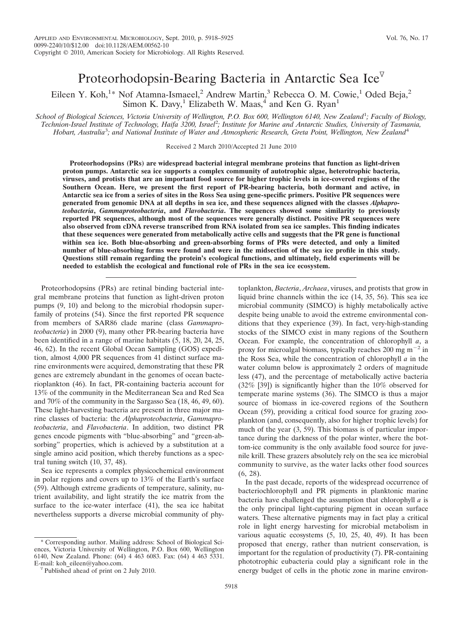# Proteorhodopsin-Bearing Bacteria in Antarctic Sea Ice<sup> $\triangledown$ </sup>

Eileen Y. Koh,<sup>1\*</sup> Nof Atamna-Ismaeel,<sup>2</sup> Andrew Martin,<sup>3</sup> Rebecca O. M. Cowie,<sup>1</sup> Oded Beja,<sup>2</sup> Simon K. Davy,<sup>1</sup> Elizabeth W. Maas,<sup>4</sup> and Ken G. Ryan<sup>1</sup>

School of Biological Sciences, Victoria University of Wellington, P.O. Box 600, Wellington 6140, New Zealand<sup>1</sup>; Faculty of Biology, *Technion-Israel Institute of Technology, Haifa 3200, Israel*<sup>2</sup> *; Institute for Marine and Antarctic Studies, University of Tasmania, Hobart, Australia*<sup>3</sup> *; and National Institute of Water and Atmospheric Research, Greta Point, Wellington, New Zealand*<sup>4</sup>

Received 2 March 2010/Accepted 21 June 2010

**Proteorhodopsins (PRs) are widespread bacterial integral membrane proteins that function as light-driven proton pumps. Antarctic sea ice supports a complex community of autotrophic algae, heterotrophic bacteria, viruses, and protists that are an important food source for higher trophic levels in ice-covered regions of the Southern Ocean. Here, we present the first report of PR-bearing bacteria, both dormant and active, in Antarctic sea ice from a series of sites in the Ross Sea using gene-specific primers. Positive PR sequences were generated from genomic DNA at all depths in sea ice, and these sequences aligned with the classes** *Alphaproteobacteria***,** *Gammaproteobacteria***, and** *Flavobacteria***. The sequences showed some similarity to previously reported PR sequences, although most of the sequences were generally distinct. Positive PR sequences were also observed from cDNA reverse transcribed from RNA isolated from sea ice samples. This finding indicates that these sequences were generated from metabolically active cells and suggests that the PR gene is functional within sea ice. Both blue-absorbing and green-absorbing forms of PRs were detected, and only a limited number of blue-absorbing forms were found and were in the midsection of the sea ice profile in this study. Questions still remain regarding the protein's ecological functions, and ultimately, field experiments will be needed to establish the ecological and functional role of PRs in the sea ice ecosystem.**

Proteorhodopsins (PRs) are retinal binding bacterial integral membrane proteins that function as light-driven proton pumps (9, 10) and belong to the microbial rhodopsin superfamily of proteins (54). Since the first reported PR sequence from members of SAR86 clade marine (class *Gammaproteobacteria*) in 2000 (9), many other PR-bearing bacteria have been identified in a range of marine habitats (5, 18, 20, 24, 25, 46, 62). In the recent Global Ocean Sampling (GOS) expedition, almost 4,000 PR sequences from 41 distinct surface marine environments were acquired, demonstrating that these PR genes are extremely abundant in the genomes of ocean bacterioplankton (46). In fact, PR-containing bacteria account for 13% of the community in the Mediterranean Sea and Red Sea and 70% of the community in the Sargasso Sea (18, 46, 49, 60). These light-harvesting bacteria are present in three major marine classes of bacteria: the *Alphaproteobacteria*, *Gammaproteobacteria*, and *Flavobacteria*. In addition, two distinct PR genes encode pigments with "blue-absorbing" and "green-absorbing" properties, which is achieved by a substitution at a single amino acid position, which thereby functions as a spectral tuning switch (10, 37, 48).

Sea ice represents a complex physicochemical environment in polar regions and covers up to 13% of the Earth's surface (59). Although extreme gradients of temperature, salinity, nutrient availability, and light stratify the ice matrix from the surface to the ice-water interface (41), the sea ice habitat nevertheless supports a diverse microbial community of phy-

\* Corresponding author. Mailing address: School of Biological Sciences, Victoria University of Wellington, P.O. Box 600, Wellington 6140, New Zealand. Phone: (64) 4 463 6083. Fax: (64) 4 463 5331.

toplankton, *Bacteria*, *Archaea*, viruses, and protists that grow in liquid brine channels within the ice (14, 35, 56). This sea ice microbial community (SIMCO) is highly metabolically active despite being unable to avoid the extreme environmental conditions that they experience (39). In fact, very-high-standing stocks of the SIMCO exist in many regions of the Southern Ocean. For example, the concentration of chlorophyll *a*, a proxy for microalgal biomass, typically reaches 200 mg  $m^{-2}$  in the Ross Sea, while the concentration of chlorophyll *a* in the water column below is approximately 2 orders of magnitude less (47), and the percentage of metabolically active bacteria (32% [39]) is significantly higher than the 10% observed for temperate marine systems (36). The SIMCO is thus a major source of biomass in ice-covered regions of the Southern Ocean (59), providing a critical food source for grazing zooplankton (and, consequently, also for higher trophic levels) for much of the year (3, 59). This biomass is of particular importance during the darkness of the polar winter, where the bottom-ice community is the only available food source for juvenile krill. These grazers absolutely rely on the sea ice microbial community to survive, as the water lacks other food sources (6, 28).

In the past decade, reports of the widespread occurrence of bacteriochlorophyll and PR pigments in planktonic marine bacteria have challenged the assumption that chlorophyll *a* is the only principal light-capturing pigment in ocean surface waters. These alternative pigments may in fact play a critical role in light energy harvesting for microbial metabolism in various aquatic ecosystems (5, 10, 25, 40, 49). It has been proposed that energy, rather than nutrient conservation, is important for the regulation of productivity (7). PR-containing phototrophic eubacteria could play a significant role in the energy budget of cells in the photic zone in marine environ-

 $\nabla$  Published ahead of print on 2 July 2010.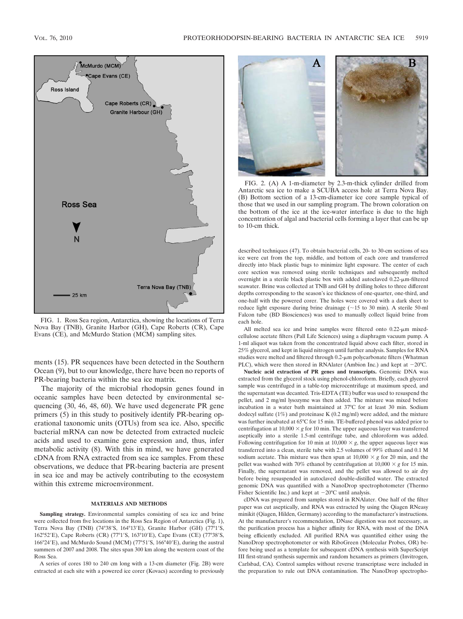

FIG. 1. Ross Sea region, Antarctica, showing the locations of Terra Nova Bay (TNB), Granite Harbor (GH), Cape Roberts (CR), Cape Evans (CE), and McMurdo Station (MCM) sampling sites.

ments (15). PR sequences have been detected in the Southern Ocean (9), but to our knowledge, there have been no reports of PR-bearing bacteria within the sea ice matrix.

The majority of the microbial rhodopsin genes found in oceanic samples have been detected by environmental sequencing (30, 46, 48, 60). We have used degenerate PR gene primers (5) in this study to positively identify PR-bearing operational taxonomic units (OTUs) from sea ice. Also, specific bacterial mRNA can now be detected from extracted nucleic acids and used to examine gene expression and, thus, infer metabolic activity (8). With this in mind, we have generated cDNA from RNA extracted from sea ice samples. From these observations, we deduce that PR-bearing bacteria are present in sea ice and may be actively contributing to the ecosystem within this extreme microenvironment.

### **MATERIALS AND METHODS**

**Sampling strategy.** Environmental samples consisting of sea ice and brine were collected from five locations in the Ross Sea Region of Antarctica (Fig. 1), Terra Nova Bay (TNB) (74°38′S, 164°13′E), Granite Harbor (GH) (77°1′S, 162°52'E), Cape Roberts (CR) (77°1'S, 163°10'E), Cape Evans (CE) (77°38'S, 166°24'E), and McMurdo Sound (MCM) (77°51'S, 166°40'E), during the austral summers of 2007 and 2008. The sites span 300 km along the western coast of the Ross Sea.

A series of cores 180 to 240 cm long with a 13-cm diameter (Fig. 2B) were extracted at each site with a powered ice corer (Kovacs) according to previously



FIG. 2. (A) A 1-m-diameter by 2.3-m-thick cylinder drilled from Antarctic sea ice to make a SCUBA access hole at Terra Nova Bay. (B) Bottom section of a 13-cm-diameter ice core sample typical of those that we used in our sampling program. The brown coloration on the bottom of the ice at the ice-water interface is due to the high concentration of algal and bacterial cells forming a layer that can be up to 10-cm thick.

described techniques (47). To obtain bacterial cells, 20- to 30-cm sections of sea ice were cut from the top, middle, and bottom of each core and transferred directly into black plastic bags to minimize light exposure. The center of each core section was removed using sterile techniques and subsequently melted overnight in a sterile black plastic box with added autoclaved  $0.22$ - $\mu$ m-filtered seawater. Brine was collected at TNB and GH by drilling holes to three different depths corresponding to the season's ice thickness of one-quarter, one-third, and one-half with the powered corer. The holes were covered with a dark sheet to reduce light exposure during brine drainage  $(\sim 15$  to 30 min). A sterile 50-ml Falcon tube (BD Biosciences) was used to manually collect liquid brine from each hole.

All melted sea ice and brine samples were filtered onto  $0.22$ - $\mu$ m mixedcellulose acetate filters (Pall Life Sciences) using a diaphragm vacuum pump. A 1-ml aliquot was taken from the concentrated liquid above each filter, stored in 25% glycerol, and kept in liquid nitrogen until further analysis. Samples for RNA studies were melted and filtered through 0.2-um polycarbonate filters (Whatman PLC), which were then stored in RNAlater (Ambion Inc.) and kept at  $-20^{\circ}$ C.

**Nucleic acid extraction of PR genes and transcripts.** Genomic DNA was extracted from the glycerol stock using phenol-chloroform. Briefly, each glycerol sample was centrifuged in a table-top microcentrifuge at maximum speed, and the supernatant was decanted. Tris-EDTA (TE) buffer was used to resuspend the pellet, and 2 mg/ml lysozyme was then added. The mixture was mixed before incubation in a water bath maintained at 37°C for at least 30 min. Sodium dodecyl sulfate (1%) and proteinase K (0.2 mg/ml) were added, and the mixture was further incubated at 65°C for 15 min. TE-buffered phenol was added prior to centrifugation at  $10,000 \times g$  for 10 min. The upper aqueous layer was transferred aseptically into a sterile 1.5-ml centrifuge tube, and chloroform was added. Following centrifugation for 10 min at  $10,000 \times g$ , the upper aqueous layer was transferred into a clean, sterile tube with 2.5 volumes of 99% ethanol and 0.1 M sodium acetate. This mixture was then spun at  $10,000 \times g$  for 20 min, and the pellet was washed with 70% ethanol by centrifugation at  $10,000 \times g$  for 15 min. Finally, the supernatant was removed, and the pellet was allowed to air dry before being resuspended in autoclaved double-distilled water. The extracted genomic DNA was quantified with a NanoDrop spectrophotometer (Thermo Fisher Scientific Inc.) and kept at  $-20^{\circ}$ C until analysis.

cDNA was prepared from samples stored in RNAlater. One half of the filter paper was cut aseptically, and RNA was extracted by using the Qiagen RNeasy minikit (Qiagen, Hilden, Germany) according to the manufacturer's instructions. At the manufacturer's recommendation, DNase digestion was not necessary, as the purification process has a higher affinity for RNA, with most of the DNA being efficiently excluded. All purified RNA was quantified either using the NanoDrop spectrophotometer or with RiboGreen (Molecular Probes, OR) before being used as a template for subsequent cDNA synthesis with SuperScript III first-strand synthesis supermix and random hexamers as primers (Invitrogen, Carlsbad, CA). Control samples without reverse transcriptase were included in the preparation to rule out DNA contamination. The NanoDrop spectropho-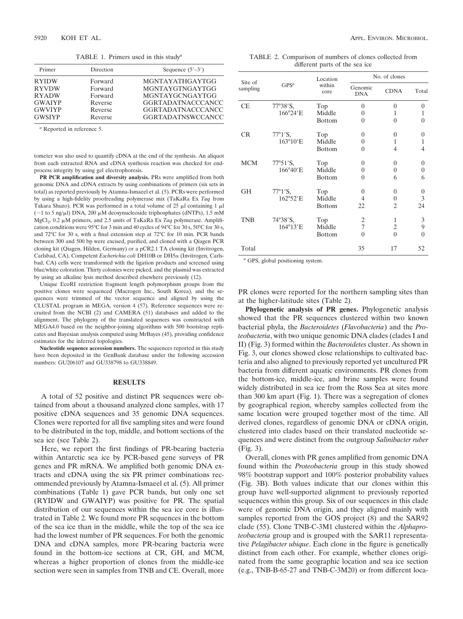TABLE 1. Primers used in this study*<sup>a</sup>*

| Primer        | Direction | Sequence $(5'-3')$       |  |  |
|---------------|-----------|--------------------------|--|--|
| <b>RYIDW</b>  | Forward   | MGNTAYATHGAYTGG          |  |  |
| <b>RYVDW</b>  | Forward   | MGNTAYGTNGAYTGG          |  |  |
| <b>RYADW</b>  | Forward   | MGNTAYGCNGAYTGG          |  |  |
| <b>GWAIYP</b> | Reverse   | <b>GGRTADATNACCCANCC</b> |  |  |
| <b>GWVIYP</b> | Reverse   | <b>GGRTADATNACCCANCC</b> |  |  |
| <b>GWSIYP</b> | Reverse   | <b>GGRTADATNSWCCANCC</b> |  |  |

*<sup>a</sup>* Reported in reference 5.

tometer was also used to quantify cDNA at the end of the synthesis. An aliquot from each extracted RNA and cDNA synthesis reaction was checked for endprocess integrity by using gel electrophoresis.

**PR PCR amplification and diversity analysis.** PRs were amplified from both genomic DNA and cDNA extracts by using combinations of primers (six sets in total) as reported previously by Atamna-Ismaeel et al. (5). PCRs were performed by using a high-fidelity proofreading polymerase mix (TaKaRa Ex *Taq* from Takara Shuzo). PCR was performed in a total volume of 25  $\mu$ l containing 1  $\mu$ l ( $\sim$ 1 to 5 ng/ $\mu$ l) DNA, 200  $\mu$ M deoxynucleoside triphosphates (dNTPs), 1.5 mM MgCl<sub>2</sub>, 0.2 μM primers, and 2.5 units of TaKaRa Ex *Taq* polymerase. Amplification conditions were 95°C for 3 min and 40 cycles of 94°C for 30 s, 50°C for 30 s, and 72°C for 30 s, with a final extension step at 72°C for 10 min. PCR bands between 300 and 500 bp were excised, purified, and cloned with a Qiagen PCR cloning kit (Qiagen, Hilden, Germany) or a pCR2.1 TA cloning kit (Invitrogen, Carlsbad, CA). Competent *Escherichia coli* DH10B or DH5 $\alpha$  (Invitrogen, Carlsbad, CA) cells were transformed with the ligation products and screened using blue/white coloration. Thirty colonies were picked, and the plasmid was extracted by using an alkaline lysis method described elsewhere previously (12).

Unique EcoRI restriction fragment length polymorphism groups from the positive clones were sequenced (Macrogen Inc., South Korea), and the sequences were trimmed of the vector sequence and aligned by using the CLUSTAL program in MEGA, version 4 (57). Reference sequences were recruited from the NCBI (2) and CAMERA (51) databases and added to the alignment. The phylogeny of the translated sequences was constructed with MEGA4.0 based on the neighbor-joining algorithms with 500 bootstrap replicates and Bayesian analysis computed using MrBayes (45), providing confidence estimates for the inferred topologies.

**Nucleotide sequence accession numbers.** The sequences reported in this study have been deposited in the GenBank database under the following accession numbers: GU206107 and GU338798 to GU338849.

## **RESULTS**

A total of 52 positive and distinct PR sequences were obtained from about a thousand analyzed clone samples, with 17 positive cDNA sequences and 35 genomic DNA sequences. Clones were reported for all five sampling sites and were found to be distributed in the top, middle, and bottom sections of the sea ice (see Table 2).

Here, we report the first findings of PR-bearing bacteria within Antarctic sea ice by PCR-based gene surveys of PR genes and PR mRNA. We amplified both genomic DNA extracts and cDNA using the six PR primer combinations recommended previously by Atamna-Ismaeel et al. (5). All primer combinations (Table 1) gave PCR bands, but only one set (RYIDW and GWAIYP) was positive for PR. The spatial distribution of our sequences within the sea ice core is illustrated in Table 2. We found more PR sequences in the bottom of the sea ice than in the middle, while the top of the sea ice had the lowest number of PR sequences. For both the genomic DNA and cDNA samples, more PR-bearing bacteria were found in the bottom-ice sections at CR, GH, and MCM, whereas a higher proportion of clones from the middle-ice section were seen in samples from TNB and CE. Overall, more

TABLE 2. Comparison of numbers of clones collected from different parts of the sea ice

| Site of<br>sampling | GPS <sup>a</sup>           | Location<br>within<br>core | No. of clones         |                |                |
|---------------------|----------------------------|----------------------------|-----------------------|----------------|----------------|
|                     |                            |                            | Genomic<br><b>DNA</b> | <b>CDNA</b>    | Total          |
| <b>CE</b>           | $77^{\circ}38^{\prime}S$ , | Top                        | $\theta$              | $\theta$       | $\theta$       |
|                     | 166°24'E                   | Middle                     | $\theta$              | 1              | 1              |
|                     |                            | <b>Bottom</b>              | $\Omega$              | $\theta$       | $\theta$       |
| <b>CR</b>           | $77^{\circ}1'S$ ,          | Top                        | 0                     | $\theta$       | $\theta$       |
|                     | $163^{\circ}10'$ E         | Middle                     | $\theta$              | 1              | 1              |
|                     |                            | <b>Bottom</b>              | $\theta$              | 4              | 4              |
| <b>MCM</b>          | $77°51'$ S,                | Top                        | $\theta$              | $\theta$       | $\overline{0}$ |
|                     | 166°40'E                   | Middle                     | $\theta$              | $\theta$       | $\overline{0}$ |
|                     |                            | <b>Bottom</b>              | $\theta$              | 6              | 6              |
| <b>GH</b>           | $77^{\circ}1^{\prime}S$ ,  | Top                        | $\theta$              | $\theta$       | 0              |
|                     | 162°52'E                   | Middle                     | 4                     | $\overline{0}$ | 3              |
|                     |                            | <b>Bottom</b>              | 22                    | 2              | 24             |
| <b>TNB</b>          | $74^{\circ}38^{\prime}S$ , | Top                        | 2                     | 1              | 3              |
|                     | 164°13'E                   | Middle                     | 7                     | $\overline{c}$ | 9              |
|                     |                            | <b>Bottom</b>              | $\Omega$              | $\Omega$       | $\theta$       |
| Total               |                            |                            | 35                    | 17             | 52             |

*<sup>a</sup>* GPS, global positioning system.

PR clones were reported for the northern sampling sites than at the higher-latitude sites (Table 2).

**Phylogenetic analysis of PR genes.** Phylogenetic analysis showed that the PR sequences clustered within two known bacterial phyla, the *Bacteroidetes* (*Flavobacteria*) and the *Proteobacteria*, with two unique genomic DNA clades (clades I and II) (Fig. 3) formed within the *Bacteroidetes* cluster. As shown in Fig. 3, our clones showed close relationships to cultivated bacteria and also aligned to previously reported yet uncultured PR bacteria from different aquatic environments. PR clones from the bottom-ice, middle-ice, and brine samples were found widely distributed in sea ice from the Ross Sea at sites more than 300 km apart (Fig. 1). There was a segregation of clones by geographical region, whereby samples collected from the same location were grouped together most of the time. All derived clones, regardless of genomic DNA or cDNA origin, clustered into clades based on their translated nucleotide sequences and were distinct from the outgroup *Salinibacter ruber* (Fig. 3).

Overall, clones with PR genes amplified from genomic DNA found within the *Proteobacteria* group in this study showed 98% bootstrap support and 100% posterior probability values (Fig. 3B). Both values indicate that our clones within this group have well-supported alignment to previously reported sequences within this group. Six of our sequences in this clade were of genomic DNA origin, and they aligned mainly with samples reported from the GOS project (8) and the SAR92 clade (55). Clone TNB-C-3M1 clustered within the *Alphaproteobacteria* group and is grouped with the SAR11 representative *Pelagibacter ubique*. Each clone in the figure is genetically distinct from each other. For example, whether clones originated from the same geographic location and sea ice section (e.g., TNB-B-65-27 and TNB-C-3M20) or from different loca-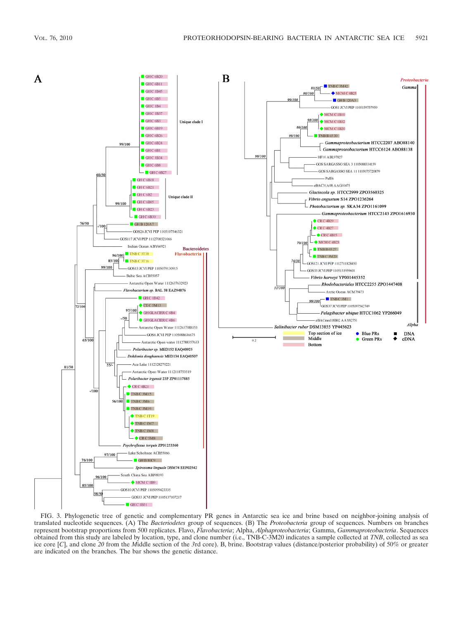

FIG. 3. Phylogenetic tree of genetic and complementary PR genes in Antarctic sea ice and brine based on neighbor-joining analysis of translated nucleotide sequences. (A) The *Bacteriodetes* group of sequences. (B) The *Proteobacteria* group of sequences. Numbers on branches represent bootstrap proportions from 500 replicates. Flavo, *Flavobacteria*; Alpha, *Alphaproteobacteria*; Gamma, *Gammaproteobacteria*. Sequences obtained from this study are labeled by location, type, and clone number (i.e., TNB-C-3M20 indicates a sample collected at *TNB*, collected as sea ice core [*C*], and clone *20* from the *M*iddle section of the *3*rd core). B, brine. Bootstrap values (distance/posterior probability) of 50% or greater are indicated on the branches. The bar shows the genetic distance.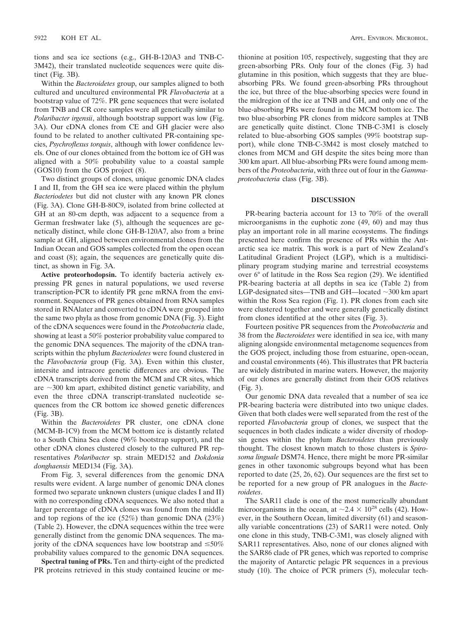tions and sea ice sections (e.g., GH-B-120A3 and TNB-C-3M42), their translated nucleotide sequences were quite distinct (Fig. 3B).

Within the *Bacteroidetes* group, our samples aligned to both cultured and uncultured environmental PR *Flavobacteria* at a bootstrap value of 72%. PR gene sequences that were isolated from TNB and CR core samples were all genetically similar to *Polaribacter irgensii*, although bootstrap support was low (Fig. 3A). Our cDNA clones from CE and GH glacier were also found to be related to another cultivated PR-containing species, *Psychroflexus torquis*, although with lower confidence levels. One of our clones obtained from the bottom ice of GH was aligned with a 50% probability value to a coastal sample (GOS10) from the GOS project (8).

Two distinct groups of clones, unique genomic DNA clades I and II, from the GH sea ice were placed within the phylum *Bacteriodetes* but did not cluster with any known PR clones (Fig. 3A). Clone GH-B-80C9, isolated from brine collected at GH at an 80-cm depth, was adjacent to a sequence from a German freshwater lake (5), although the sequences are genetically distinct, while clone GH-B-120A7, also from a brine sample at GH, aligned between environmental clones from the Indian Ocean and GOS samples collected from the open ocean and coast (8); again, the sequences are genetically quite distinct, as shown in Fig. 3A.

**Active proteorhodopsin.** To identify bacteria actively expressing PR genes in natural populations, we used reverse transcription-PCR to identify PR gene mRNA from the environment. Sequences of PR genes obtained from RNA samples stored in RNAlater and converted to cDNA were grouped into the same two phyla as those from genomic DNA (Fig. 3). Eight of the cDNA sequences were found in the *Proteobacteria* clade, showing at least a 50% posterior probability value compared to the genomic DNA sequences. The majority of the cDNA transcripts within the phylum *Bacteriodetes* were found clustered in the *Flavobacteria* group (Fig. 3A). Even within this cluster, intersite and intracore genetic differences are obvious. The cDNA transcripts derived from the MCM and CR sites, which are  $\sim$ 300 km apart, exhibited distinct genetic variability, and even the three cDNA transcript-translated nucleotide sequences from the CR bottom ice showed genetic differences (Fig. 3B).

Within the *Bacteroidetes* PR cluster, one cDNA clone (MCM-B-1C9) from the MCM bottom ice is distantly related to a South China Sea clone (96% bootstrap support), and the other cDNA clones clustered closely to the cultured PR representatives *Polaribacter* sp. strain MED152 and *Dokdonia donghaensis* MED134 (Fig. 3A).

From Fig. 3, several differences from the genomic DNA results were evident. A large number of genomic DNA clones formed two separate unknown clusters (unique clades I and II) with no corresponding cDNA sequences. We also noted that a larger percentage of cDNA clones was found from the middle and top regions of the ice (52%) than genomic DNA (23%) (Table 2). However, the cDNA sequences within the tree were generally distinct from the genomic DNA sequences. The majority of the cDNA sequences have low bootstrap and  $\leq 50\%$ probability values compared to the genomic DNA sequences.

**Spectral tuning of PRs.** Ten and thirty-eight of the predicted PR proteins retrieved in this study contained leucine or methionine at position 105, respectively, suggesting that they are green-absorbing PRs. Only four of the clones (Fig. 3) had glutamine in this position, which suggests that they are blueabsorbing PRs. We found green-absorbing PRs throughout the ice, but three of the blue-absorbing species were found in the midregion of the ice at TNB and GH, and only one of the blue-absorbing PRs were found in the MCM bottom ice. The two blue-absorbing PR clones from midcore samples at TNB are genetically quite distinct. Clone TNB-C-3M1 is closely related to blue-absorbing GOS samples (99% bootstrap support), while clone TNB-C-3M42 is most closely matched to clones from MCM and GH despite the sites being more than 300 km apart. All blue-absorbing PRs were found among members of the *Proteobacteria*, with three out of four in the *Gammaproteobacteria* class (Fig. 3B).

#### **DISCUSSION**

PR-bearing bacteria account for 13 to 70% of the overall microorganisms in the euphotic zone (49, 60) and may thus play an important role in all marine ecosystems. The findings presented here confirm the presence of PRs within the Antarctic sea ice matrix. This work is a part of New Zealand's Latitudinal Gradient Project (LGP), which is a multidisciplinary program studying marine and terrestrial ecosystems over 6° of latitude in the Ross Sea region (29). We identified PR-bearing bacteria at all depths in sea ice (Table 2) from LGP-designated sites—TNB and GH—located  $\sim$ 300 km apart within the Ross Sea region (Fig. 1). PR clones from each site were clustered together and were generally genetically distinct from clones identified at the other sites (Fig. 3).

Fourteen positive PR sequences from the *Proteobacteria* and 38 from the *Bacteroidetes* were identified in sea ice, with many aligning alongside environmental metagenome sequences from the GOS project, including those from estuarine, open-ocean, and coastal environments (46). This illustrates that PR bacteria are widely distributed in marine waters. However, the majority of our clones are generally distinct from their GOS relatives (Fig. 3).

Our genomic DNA data revealed that a number of sea ice PR-bearing bacteria were distributed into two unique clades. Given that both clades were well separated from the rest of the reported *Flavobacteria* group of clones, we suspect that the sequences in both clades indicate a wider diversity of rhodopsin genes within the phylum *Bacteroidetes* than previously thought. The closest known match to those clusters is *Spirosoma linguale* DSM74. Hence, there might be more PR-similar genes in other taxonomic subgroups beyond what has been reported to date (25, 26, 62). Our sequences are the first set to be reported for a new group of PR analogues in the *Bacteroidetes*.

The SAR11 clade is one of the most numerically abundant microorganisms in the ocean, at  $\sim$  2.4  $\times$  10<sup>28</sup> cells (42). However, in the Southern Ocean, limited diversity (61) and seasonally variable concentrations (23) of SAR11 were noted. Only one clone in this study, TNB-C-3M1, was closely aligned with SAR11 representatives. Also, none of our clones aligned with the SAR86 clade of PR genes, which was reported to comprise the majority of Antarctic pelagic PR sequences in a previous study (10). The choice of PCR primers (5), molecular tech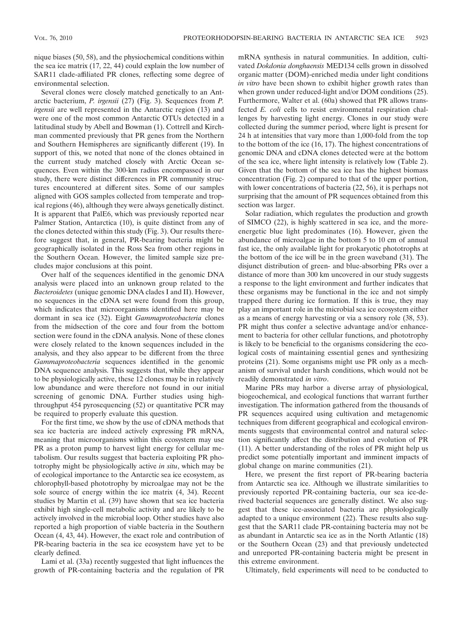nique biases (50, 58), and the physiochemical conditions within the sea ice matrix (17, 22, 44) could explain the low number of SAR11 clade-affiliated PR clones, reflecting some degree of environmental selection.

Several clones were closely matched genetically to an Antarctic bacterium, *P. irgensii* (27) (Fig. 3). Sequences from *P. irgensii* are well represented in the Antarctic region (13) and were one of the most common Antarctic OTUs detected in a latitudinal study by Abell and Bowman (1). Cottrell and Kirchman commented previously that PR genes from the Northern and Southern Hemispheres are significantly different (19). In support of this, we noted that none of the clones obtained in the current study matched closely with Arctic Ocean sequences. Even within the 300-km radius encompassed in our study, there were distinct differences in PR community structures encountered at different sites. Some of our samples aligned with GOS samples collected from temperate and tropical regions (46), although they were always genetically distinct. It is apparent that PalE6, which was previously reported near Palmer Station, Antarctica (10), is quite distinct from any of the clones detected within this study (Fig. 3). Our results therefore suggest that, in general, PR-bearing bacteria might be geographically isolated in the Ross Sea from other regions in the Southern Ocean. However, the limited sample size precludes major conclusions at this point.

Over half of the sequences identified in the genomic DNA analysis were placed into an unknown group related to the *Bacteroidetes* (unique genomic DNA clades I and II). However, no sequences in the cDNA set were found from this group, which indicates that microorganisms identified here may be dormant in sea ice (32). Eight *Gammaproteobacteria* clones from the midsection of the core and four from the bottom section were found in the cDNA analysis. None of these clones were closely related to the known sequences included in the analysis, and they also appear to be different from the three *Gammaproteobacteria* sequences identified in the genomic DNA sequence analysis. This suggests that, while they appear to be physiologically active, these 12 clones may be in relatively low abundance and were therefore not found in our initial screening of genomic DNA. Further studies using highthroughput 454 pyrosequencing (52) or quantitative PCR may be required to properly evaluate this question.

For the first time, we show by the use of cDNA methods that sea ice bacteria are indeed actively expressing PR mRNA, meaning that microorganisms within this ecosystem may use PR as a proton pump to harvest light energy for cellular metabolism. Our results suggest that bacteria exploiting PR phototrophy might be physiologically active *in situ*, which may be of ecological importance to the Antarctic sea ice ecosystem, as chlorophyll-based phototrophy by microalgae may not be the sole source of energy within the ice matrix (4, 34). Recent studies by Martin et al. (39) have shown that sea ice bacteria exhibit high single-cell metabolic activity and are likely to be actively involved in the microbial loop. Other studies have also reported a high proportion of viable bacteria in the Southern Ocean (4, 43, 44). However, the exact role and contribution of PR-bearing bacteria in the sea ice ecosystem have yet to be clearly defined.

Lami et al. (33a) recently suggested that light influences the growth of PR-containing bacteria and the regulation of PR mRNA synthesis in natural communities. In addition, cultivated *Dokdonia donghaensis* MED134 cells grown in dissolved organic matter (DOM)-enriched media under light conditions *in vitro* have been shown to exhibit higher growth rates than when grown under reduced-light and/or DOM conditions (25). Furthermore, Walter et al. (60a) showed that PR allows transfected *E. coli* cells to resist environmental respiration challenges by harvesting light energy. Clones in our study were collected during the summer period, where light is present for 24 h at intensities that vary more than 1,000-fold from the top to the bottom of the ice (16, 17). The highest concentrations of genomic DNA and cDNA clones detected were at the bottom of the sea ice, where light intensity is relatively low (Table 2). Given that the bottom of the sea ice has the highest biomass concentration (Fig. 2) compared to that of the upper portion, with lower concentrations of bacteria (22, 56), it is perhaps not surprising that the amount of PR sequences obtained from this section was larger.

Solar radiation, which regulates the production and growth of SIMCO (22), is highly scattered in sea ice, and the moreenergetic blue light predominates (16). However, given the abundance of microalgae in the bottom 5 to 10 cm of annual fast ice, the only available light for prokaryotic phototrophs at the bottom of the ice will be in the green waveband (31). The disjunct distribution of green- and blue-absorbing PRs over a distance of more than 300 km uncovered in our study suggests a response to the light environment and further indicates that these organisms may be functional in the ice and not simply trapped there during ice formation. If this is true, they may play an important role in the microbial sea ice ecosystem either as a means of energy harvesting or via a sensory role (38, 53). PR might thus confer a selective advantage and/or enhancement to bacteria for other cellular functions, and phototrophy is likely to be beneficial to the organisms considering the ecological costs of maintaining essential genes and synthesizing proteins (21). Some organisms might use PR only as a mechanism of survival under harsh conditions, which would not be readily demonstrated *in vitro*.

Marine PRs may harbor a diverse array of physiological, biogeochemical, and ecological functions that warrant further investigation. The information gathered from the thousands of PR sequences acquired using cultivation and metagenomic techniques from different geographical and ecological environments suggests that environmental control and natural selection significantly affect the distribution and evolution of PR (11). A better understanding of the roles of PR might help us predict some potentially important and imminent impacts of global change on marine communities (21).

Here, we present the first report of PR-bearing bacteria from Antarctic sea ice. Although we illustrate similarities to previously reported PR-containing bacteria, our sea ice-derived bacterial sequences are generally distinct. We also suggest that these ice-associated bacteria are physiologically adapted to a unique environment (22). These results also suggest that the SAR11 clade PR-containing bacteria may not be as abundant in Antarctic sea ice as in the North Atlantic (18) or the Southern Ocean (23) and that previously undetected and unreported PR-containing bacteria might be present in this extreme environment.

Ultimately, field experiments will need to be conducted to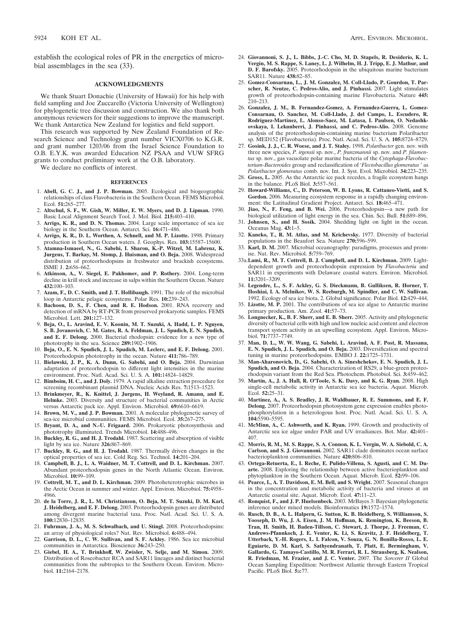establish the ecological roles of PR in the energetics of microbial assemblages in the sea (33).

#### **ACKNOWLEDGMENTS**

We thank Stuart Donachie (University of Hawaii) for his help with field sampling and Joe Zuccarello (Victoria University of Wellington) for phylogenetic tree discussion and construction. We also thank both anonymous reviewers for their suggestions to improve the manuscript. We thank Antarctica New Zealand for logistics and field support.

This research was supported by New Zealand Foundation of Research Science and Technology grant number VICX0706 to K.G.R. and grant number 1203/06 from the Israel Science Foundation to O.B. E.Y.K. was awarded Education NZ PSAA and VUW SFRG grants to conduct preliminary work at the O.B. laboratory.

We declare no conflicts of interest.

#### **REFERENCES**

- 1. **Abell, G. C. J., and J. P. Bowman.** 2005. Ecological and biogeographic relationships of class Flavobacteria in the Southern Ocean. FEMS Microbiol. Ecol. **51:**265–277.
- 2. **Altschul, S. F., W. Gish, W. Miller, E. W. Myers, and D. J. Lipman.** 1990. Basic Local Alignment Search Tool. J. Mol. Biol. **215:**403–410.
- 3. **Arrigo, K. R., and D. N. Thomas.** 2004. Large scale importance of sea ice biology in the Southern Ocean. Antarct. Sci. **16:**471–486.
- 4. **Arrigo, K. R., D. L. Worthen, A. Schnell, and M. P. Lizotte.** 1998. Primary production in Southern Ocean waters. J. Geophys. Res. **103:**15587–15600.
- 5. **Atamna-Ismaeel, N., G. Sabehi, I. Sharon, K.-P. Witzel, M. Labrenz, K. Jurgens, T. Barkay, M. Stomp, J. Huisman, and O. Beja.** 2008. Widespread distribution of proteorhodopsins in freshwater and brackish ecosystems. ISME J. **2:**656–662.
- 6. **Atkinson, A., V. Siegel, E. Pakhomov, and P. Rothery.** 2004. Long-term decline in krill stock and increase in salps within the Southern Ocean. Nature **432:**100–103.
- 7. **Azam, F., D. C. Smith, and J. T. Hollibaugh.** 1991. The role of the microbial loop in Antarctic pelagic ecosystems. Polar Res. **10:**239–243.
- 8. **Bachoon, D. S., F. Chen, and R. E. Hodson.** 2001. RNA recovery and detection of mRNA by RT-PCR from preserved prokaryotic samples. FEMS Microbiol. Lett. **201:**127–132.
- 9. **Beja, O., L. Aravind, E. V. Koonin, M. T. Suzuki, A. Hadd, L. P. Nguyen, S. B. Jovanovich, C. M. Gates, R. A. Feldman, J. L. Spudich, E. N. Spudich, and E. F. Delong.** 2000. Bacterial rhodopsin: evidence for a new type of phototrophy in the sea. Science **289:**1902–1906.
- 10. **Beja, O., E. N. Spudich, J. L. Spudich, M. Leclerc, and E. F. Delong.** 2001. Proteorhodopsin phototrophy in the ocean. Nature **411:**786–789.
- 11. **Bielawski, J. P., K. A. Dunn, G. Sabehi, and O. Beja.** 2004. Darwinian adaptation of proteorhodopsin to different light intensities in the marine environment. Proc. Natl. Acad. Sci. U. S. A. **101:**14824–14829.
- 12. **Bimboim, H. C., and J. Doly.** 1979. A rapid alkaline extraction procedure for screening recombinant plasmid DNA. Nucleic Acids Res. **7:**1513–1523.
- 13. **Brinkmeyer, R., K. Knittel, J. Jurgens, H. Weyland, R. Amann, and E. Helmke.** 2003. Diversity and structure of bacterial communities in Arctic versus Antarctic pack ice. Appl. Environ. Microbiol. **69:**6610–6619.
- 14. **Brown, M. V., and J. P. Bowman.** 2001. A molecular phylogenetic survey of sea-ice microbial communities. FEMS Microbiol. Ecol. **35:**267–275.
- 15. **Bryant, D. A., and N.-U. Frigaard.** 2006. Prokaryotic photosynthesis and phototrophy illuminated. Trends Microbiol. **14:**488–496.
- 16. **Buckley, R. G., and H. J. Trodahl.** 1987. Scattering and absorption of visible light by sea ice. Nature **326:**867–869.
- 17. **Buckley, R. G., and H. J. Trodahl.** 1987. Thermally driven changes in the optical properties of sea ice. Cold Reg. Sci. Technol. **14:**201–204.
- 18. **Campbell, B. J., L. A. Waidner, M. T. Cottrell, and D. L. Kirchman.** 2007. Abundant proteorhodopsin genes in the North Atlantic Ocean. Environ. Microbiol. **10:**99–109.
- 19. **Cottrell, M. T., and D. L. Kirchman.** 2009. Photoheterotrophic microbes in the Arctic Ocean in summer and winter. Appl. Environ. Microbiol. **75:**4958– 4966.
- 20. **de la Torre, J. R., L. M. Christianson, O. Beja, M. T. Suzuki, D. M. Karl, J. Heidelberg, and E. F. Delong.** 2003. Proteorhodopsin genes are distributed among divergent marine bacterial taxa. Proc. Natl. Acad. Sci. U. S. A. **100:**12830–12835.
- 21. **Fuhrman, J. A., M. S. Schwalbach, and U. Stingl.** 2008. Proteorhodopsins: an array of physiological roles? Nat. Rev. Microbiol. **6:**488–494.
- 22. **Garrison, D. L., C. W. Sullivan, and S. F. Ackley.** 1986. Sea ice microbial communities in Antarctica. Bioscience **36:**243–250.
- 23. **Giebel, H. A., T. Brinkhoff, W. Zwisler, N. Selje, and M. Simon.** 2009. Distribution of Roseobacter RCA and SAR11 lineages and distinct bacterial communities from the subtropics to the Southern Ocean. Environ. Microbiol. **11:**2164–2178.
- 24. **Giovannoni, S. J., L. Bibbs, J.-C. Cho, M. D. Stapels, R. Desiderio, K. L. Vergin, M. S. Rappe, S. Laney, L. J. Wilhelm, H. J. Tripp, E. J. Mathur, and D. F. Barofsky.** 2005. Proteorhodopsin in the ubiquitous marine bacterium SAR11. Nature **438:**82–85.
- 25. **Gomez-Consarnau, L., J. M. Gonzalez, M. Coll-Llado, P. Gourdon, T. Parscher, R. Neutze, C. Pedros-Alio, and J. Pinhassi.** 2007. Light stimulates growth of proteorhodopsin-containing marine Flavobacteria. Nature **445:** 210–213.
- 26. **Gonzalez, J. M., B. Fernandez-Gomez, A. Fernandez-Guerra, L. Gomez-Consarnau, O. Sanchez, M. Coll-Llado, J. del Campo, L. Escudero, R. Rodriguez-Martinez, L. Alonso-Saez, M. Latasa, I. Paulsen, O. Nedashkovskaya, I. Lekunberri, J. Pinhassi, and C. Pedros-Alio.** 2008. Genome analysis of the proteorhodopsin-containing marine bacterium Polaribacter sp. MED152 (Flavobacteria). Proc. Natl. Acad. Sci. U. S. A. **105:**8724–8729.
- 27. **Gosink, J. J., C. R. Woese, and J. T. Staley.** 1998. *Polaribacter* gen. nov. with three new species, *P. irgensii* sp. nov., *P. franzmannii* sp. nov. and *P. filamentus* sp. nov., gas vacuolate polar marine bacteria of the *Cytophaga-Flavobacterium-Bacteroides* group and reclassification of '*Flectobacillus glomeratus* ' as *Polaribacter glomeratus* comb. nov. Int. J. Syst. Evol. Microbiol. **34:**223–235.
- 28. **Gross, L.** 2005. As the Antarctic ice pack recedes, a fragile ecosystem hangs in the balance. PLoS Biol. **3:**557–561.
- 29. **Howard-Williams, C., D. Peterson, W. B. Lyons, R. Cattaneo-Vietti, and S. Gordon.** 2006. Measuring ecosystem response in a rapidly changing environment: the Latitudinal Gradient Project. Antarct. Sci. **18:**465–471.
- 30. **Jiao, N., F. Feng, and B. Wei.** 2006. Proteorhodopsin—a new path for biological utilization of light energy in the sea. Chin. Sci. Bull. **51:**889–896.
- 31. **Johnsen, S., and H. Sosik.** 2004. Shedding light on light in the ocean. Oceanus Mag. **43:**1–5.
- 32. **Kaneko, T., R. M. Atlas, and M. Krichevsky.** 1977. Diversity of bacterial populations in the Beaufort Sea. Nature **270:**596–599.
- 33. **Karl, D. M.** 2007. Microbial oceanography: paradigms, processes and promise. Nat. Rev. Microbiol. **5:**759–769.
- 33a.**Lami, R., M. T. Cottrell, B. J. Campbell, and D. L. Kirchman.** 2009. Lightdependent growth and proteorhodopsin expression by *Flavobacteria* and SAR11 in experiments with Delaware coastal waters. Environ. Microbiol. **11:**3201–3209.
- 34. **Legendre, L., S. F. Ackley, G. S. Dieckmann, B. Gulliksen, R. Horner, T. Hoshiai, I. A. Melnikov, W. S. Reeburgh, M. Spindler, and C. W. Sullivan.** 1992. Ecology of sea ice biota. 2. Global significance. Polar Biol. **12:**429–444.
- 35. **Lizotte, M. P.** 2001. The contributions of sea ice algae to Antarctic marine primary production. Am. Zool. **41:**57–73.
- 36. **Longnecker, K., B. F. Sherr, and E. B. Sherr.** 2005. Activity and phylogenetic diversity of bacterial cells with high and low nucleic acid content and electron transport system activity in an upwelling ecosystem. Appl. Environ. Microbiol. **71:**7737–7749.
- 37. **Man, D. L., W. W. Wang, G. Sabehi, L. Aravind, A. F. Post, R. Massana, E. N. Spudich, J. L. Spudich, and O. Beja.** 2003. Diversification and spectral tuning in marine proteorhodopsins. EMBO J. **22:**1725–1731.
- 38. **Man-Aharonovich, D., G. Sabehi, O. A. Sineshchekov, E. N. Spudich, J. L. Spudich, and O. Beja.** 2004. Characterization of RS29, a blue-green proteorhodopsin variant from the Red Sea. Photochem. Photobiol. Sci. **3:**459–462.
- 39. **Martin, A., J. A. Hall, R. O'Toole, S. K. Davy, and K. G. Ryan.** 2008. High single-cell metabolic activity in Antarctic sea ice bacteria. Aquat. Microb. Ecol. **52:**25–31.
- 40. **Martinez, A., A. S. Bradley, J. R. Waldbauer, R. E. Summons, and E. F. Delong.** 2007. Proteorhodopsin photosystem gene expression enables photophosphorylation in a heterologous host. Proc. Natl. Acad. Sci. U. S. A. **104:**5590–5595.
- 41. **McMinn, A., C. Ashworth, and K. Ryan.** 1999. Growth and productivity of Antarctic sea ice algae under PAR and UV irradiances. Bot. Mar. **42:**401– 407.
- 42. **Morris, R. M., M. S. Rappe, S. A. Connon, K. L. Vergin, W. A. Siebold, C. A. Carlson, and S. J. Giovannoni.** 2002. SAR11 clade dominates ocean surface bacterioplankton communities. Nature **420:**806–810.
- 43. **Ortega-Retuerta, E., I. Reche, E. Pulido-Villena, S. Agusti, and C. M. Duarte.** 2008. Exploring the relationship between active bacterioplankton and phytoplankton in the Southern Ocean. Aquat. Microb. Ecol. **52:**99–106.
- 44. **Pearce, I., A. T. Davidson, E. M. Bell, and S. Wright.** 2007. Seasonal changes in the concentration and metabolic activity of bacteria and viruses at an Antarctic coastal site. Aquat. Microb. Ecol. **47:**11–23.
- 45. **Ronquist, F., and J. P. Huelsenbeck.** 2003. MrBayes 3: Bayesian phylogenetic inference under mixed models. Bioinformatics **19:**1572–1574.
- 46. **Rusch, D. B., A. L. Halpern, G. Sutton, K. B. Heidelberg, S. Williamson, S. Yooseph, D. Wu, J. A. Eisen, J. M. Hoffman, K. Remington, K. Beeson, B. Tran, H. Smith, H. Baden-Tillson, C. Stewart, J. Thorpe, J. Freeman, C. Andrews-Pfannkoch, J. E. Venter, K. Li, S. Kravitz, J. F. Heidelberg, T. Utterback, Y.-H. Rogers, L. I. Falcon, V. Souza, G. N. Bonilla-Rosso, L. E. Eguiarte, D. M. Karl, S. Sathyendranath, T. Platt, E. Bermingham, V. Gallardo, G. Tamayo-Castillo, M. R. Ferrari, R. L. Strausberg, K. Nealson, R. Friedman, M. Frazier, and J. C. Venter.** 2007. The *Sorcerer II* Global Ocean Sampling Expedition: Northwest Atlantic through Eastern Tropical Pacific. PLoS Biol. **5:**e77.